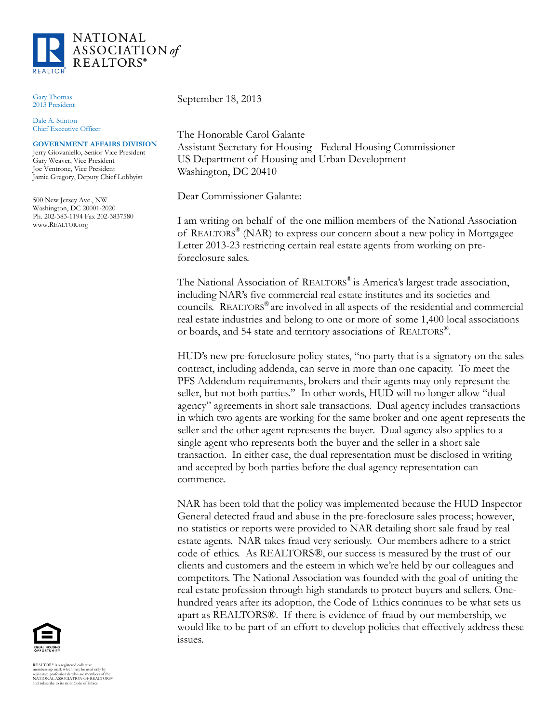

Gary Thomas 2013 President

Dale A. Stinton Chief Executive Officer

## **GOVERNMENT AFFAIRS DIVISION**

Jerry Giovaniello, Senior Vice President Gary Weaver, Vice President Joe Ventrone, Vice President Jamie Gregory, Deputy Chief Lobbyist

500 New Jersey Ave., NW Washington, DC 20001-2020 Ph. 202-383-1194 Fax 202-3837580 www.REALTOR.org

September 18, 2013

The Honorable Carol Galante Assistant Secretary for Housing - Federal Housing Commissioner US Department of Housing and Urban Development Washington, DC 20410

Dear Commissioner Galante:

I am writing on behalf of the one million members of the National Association of REALTORS® (NAR) to express our concern about a new policy in Mortgagee Letter 2013-23 restricting certain real estate agents from working on preforeclosure sales.

The National Association of REALTORS® is America's largest trade association, including NAR's five commercial real estate institutes and its societies and councils. REALTORS® are involved in all aspects of the residential and commercial real estate industries and belong to one or more of some 1,400 local associations or boards, and 54 state and territory associations of REALTORS® .

HUD's new pre-foreclosure policy states, "no party that is a signatory on the sales contract, including addenda, can serve in more than one capacity. To meet the PFS Addendum requirements, brokers and their agents may only represent the seller, but not both parties." In other words, HUD will no longer allow "dual agency" agreements in short sale transactions. Dual agency includes transactions in which two agents are working for the same broker and one agent represents the seller and the other agent represents the buyer. Dual agency also applies to a single agent who represents both the buyer and the seller in a short sale transaction. In either case, the dual representation must be disclosed in writing and accepted by both parties before the dual agency representation can commence.

NAR has been told that the policy was implemented because the HUD Inspector General detected fraud and abuse in the pre-foreclosure sales process; however, no statistics or reports were provided to NAR detailing short sale fraud by real estate agents. NAR takes fraud very seriously. Our members adhere to a strict code of ethics. As REALTORS®, our success is measured by the trust of our clients and customers and the esteem in which we're held by our colleagues and competitors. The National Association was founded with the goal of uniting the real estate profession through high standards to protect buyers and sellers. Onehundred years after its adoption, the Code of Ethics continues to be what sets us apart as REALTORS®. If there is evidence of fraud by our membership, we would like to be part of an effort to develop policies that effectively address these issues.



REALTOR® is a registered collective<br>membership mark which may be used only by<br>real estate professionals who are members of the<br>NATIONAL ASSOCIATION OF REALTORS®<br>and subscribe to its strict Code of Ethics.